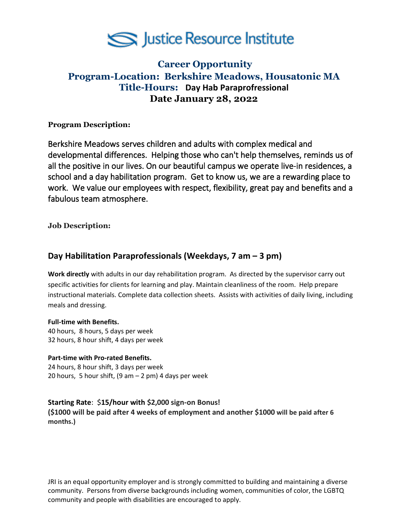

# **Career Opportunity Program-Location: Berkshire Meadows, Housatonic MA Title-Hours: Day Hab Paraprofressional Date January 28, 2022**

# **Program Description:**

Berkshire Meadows serves children and adults with complex medical and developmental differences. Helping those who can't help themselves, reminds us of all the positive in our lives. On our beautiful campus we operate live-in residences, a school and a day habilitation program. Get to know us, we are a rewarding place to work. We value our employees with respect, flexibility, great pay and benefits and a fabulous team atmosphere.

**Job Description:** 

# **Day Habilitation Paraprofessionals (Weekdays, 7 am – 3 pm)**

**Work directly** with adults in our day rehabilitation program. As directed by the supervisor carry out specific activities for clients for learning and play. Maintain cleanliness of the room. Help prepare instructional materials. Complete data collection sheets. Assists with activities of daily living, including meals and dressing.

#### **Full-time with Benefits.**

40 hours, 8 hours, 5 days per week 32 hours, 8 hour shift, 4 days per week

#### **Part-time with Pro-rated Benefits.**

24 hours, 8 hour shift, 3 days per week 20 hours, 5 hour shift,  $(9 \text{ am} - 2 \text{ pm})$  4 days per week

**Starting Rate**: \$**15/hour with \$2,000 sign-on Bonus! (\$1000 will be paid after 4 weeks of employment and another \$1000 will be paid after 6 months.)**

JRI is an equal opportunity employer and is strongly committed to building and maintaining a diverse community. Persons from diverse backgrounds including women, communities of color, the LGBTQ community and people with disabilities are encouraged to apply.